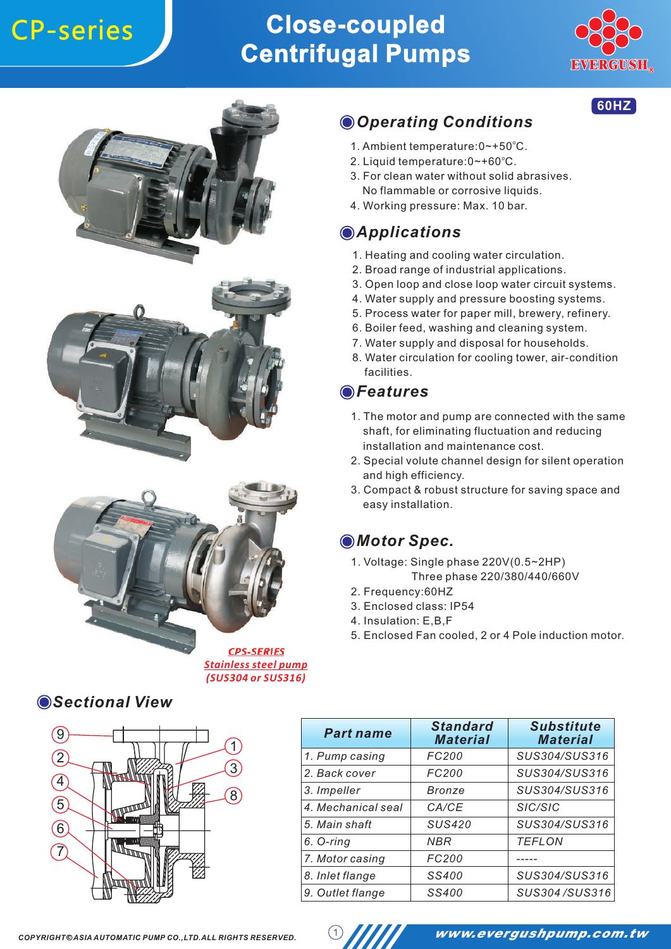

**60HZ**







#### *Stainless steel pump (SUS304 or SUS316)*

#### *Sectional View*



### *Operating Conditions*

- 1. Ambient temperature: 0~+50°C.
- 2. Liquid temperature:0~+60°C.
- 3. For clean water without solid abrasives. No flammable or corrosive liquids.
- 4. Working pressure: Max. 10 bar.

#### *Applications*

- 1. Heating and cooling water circulation.
- 2. Broad range of industrial applications.
- 3. Open loop and close loop water circuit systems.
- 4. Water supply and pressure boosting systems.
- 5. Process water for paper mill, brewery, refinery.
- 6. Boiler feed, washing and cleaning system.
- 7. Water supply and disposal for households.
- 8. Water circulation for cooling tower, air-condition facilities.

#### *Features*

- 1. The motor and pump are connected with the same shaft, for eliminating fluctuation and reducing installation and maintenance cost.
- 2. Special volute channel design for silent operation and high efficiency.
- 3. Compact & robust structure for saving space and easy installation.

#### *Motor Spec.*

- 1. Voltage: Single phase 220V(0.5~2HP) Three phase 220/380/440/660V
- 2. Frequency:60HZ
- 3. Enclosed class: IP54
- 4. Insulation: E,B,F
- 5. Enclosed Fan cooled, 2 or 4 Pole induction motor.

| <b>Part name</b>   | <b>Standard</b><br><b>Material</b> | <b>Substitute</b><br><b>Material</b> |
|--------------------|------------------------------------|--------------------------------------|
| 1. Pump casing     | FC200                              | SUS304/SUS316                        |
| 2. Back cover      | FC200                              | SUS304/SUS316                        |
| 3. Impeller        | Bronze                             | SUS304/SUS316                        |
| 4. Mechanical seal | CA/CE                              | SIC/SIC                              |
| 5. Main shaft      | <b>SUS420</b>                      | SUS304/SUS316                        |
| 6. O-ring          | NBR                                | <b>TEFLON</b>                        |
| 7. Motor casing    | FC200                              |                                      |
| 8. Inlet flange    | SS400                              | SUS304/SUS316                        |
| 9. Outlet flange   | SS400                              | SUS304/SUS316                        |



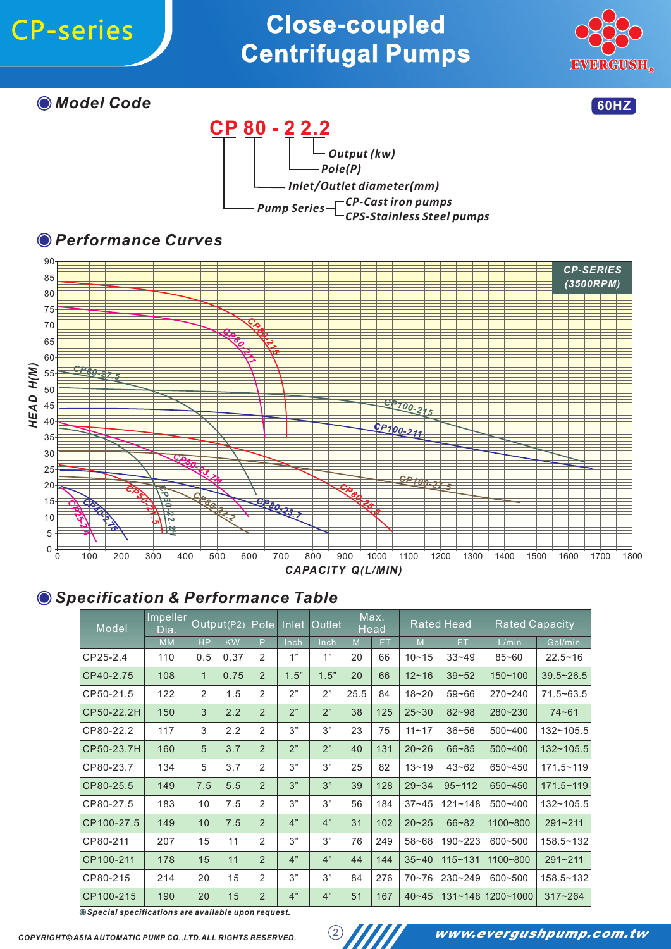

*Model Code*









#### *Specification & Performance Table*

| Model      | Impeller<br>Dia. |              | Output(P2) |                | Pole Inlet | <b>Outlet</b> |      | Max.<br><b>Head</b> | <b>Rated Head</b> |             | <b>Rated Capacity</b> |               |
|------------|------------------|--------------|------------|----------------|------------|---------------|------|---------------------|-------------------|-------------|-----------------------|---------------|
|            | <b>MM</b>        | <b>HP</b>    | <b>KW</b>  | P              | Inch       | Inch          | M    | <b>FT</b>           | M                 | <b>FT</b>   | L/min                 | Gal/min       |
| CP25-2.4   | 110              | 0.5          | 0.37       | 2              | 1"         | 1"            | 20   | 66                  | $10 - 15$         | $33 - 49$   | $85 - 60$             | $22.5 - 16$   |
| CP40-2.75  | 108              | $\mathbf{1}$ | 0.75       | $\overline{2}$ | 1.5"       | 1.5"          | 20   | 66                  | $12 - 16$         | $39 - 52$   | $150 - 100$           | $39.5 - 26.5$ |
| CP50-21.5  | 122              | 2            | 1.5        | 2              | 2"         | 2"            | 25.5 | 84                  | $18 - 20$         | $59 - 66$   | 270~240               | $71.5 - 63.5$ |
| CP50-22.2H | 150              | 3            | 2.2        | 2              | 2"         | 2"            | 38   | 125                 | $25 - 30$         | $82 - 98$   | 280~230               | $74 - 61$     |
| CP80-22.2  | 117              | 3            | 2.2        | 2              | 3"         | 3"            | 23   | 75                  | $11 - 17$         | $36 - 56$   | 500~400               | 132~105.5     |
| CP50-23.7H | 160              | 5            | 3.7        | 2              | 2"         | 2"            | 40   | 131                 | $20 - 26$         | $66 - 85$   | 500~400               | $132 - 105.5$ |
| CP80-23.7  | 134              | 5            | 3.7        | 2              | 3"         | 3"            | 25   | 82                  | $13 - 19$         | $43 - 62$   | 650~450               | $171.5 - 119$ |
| CP80-25.5  | 149              | 7.5          | 5.5        | $\mathcal{P}$  | 3"         | 3"            | 39   | 128                 | $29 - 34$         | $95 - 112$  | 650~450               | $171.5 - 119$ |
| CP80-27.5  | 183              | 10           | 7.5        | 2              | 3"         | 3"            | 56   | 184                 | $37 - 45$         | $121 - 148$ | 500~400               | $132 - 105.5$ |
| CP100-27.5 | 149              | 10           | 7.5        | 2              | 4"         | 4"            | 31   | 102                 | $20 - 25$         | $66 - 82$   | 1100~800              | $291 - 211$   |
| CP80-211   | 207              | 15           | 11         | 2              | 3"         | 3"            | 76   | 249                 | $58 - 68$         | 190~223     | 600~500               | 158.5~132     |
| CP100-211  | 178              | 15           | 11         | $\overline{2}$ | 4"         | 4"            | 44   | 144                 | $35 - 40$         | $115 - 131$ | 1100~800              | $291 - 211$   |
| CP80-215   | 214              | 20           | 15         | 2              | 3"         | 3"            | 84   | 276                 | $70 - 76$         | 230~249     | 600~500               | 158.5~132     |
| CP100-215  | 190              | 20           | 15         | 2              | 4"         | 4"            | 51   | 167                 | $40 - 45$         | $131 - 148$ | 1200~1000             | $317 - 264$   |

*Special specifications are available upon request.*

*COPYRIGHT c ASIA AUTOMATIC PUMP CO.,LTD.ALL RIGHTS RESERVED.*

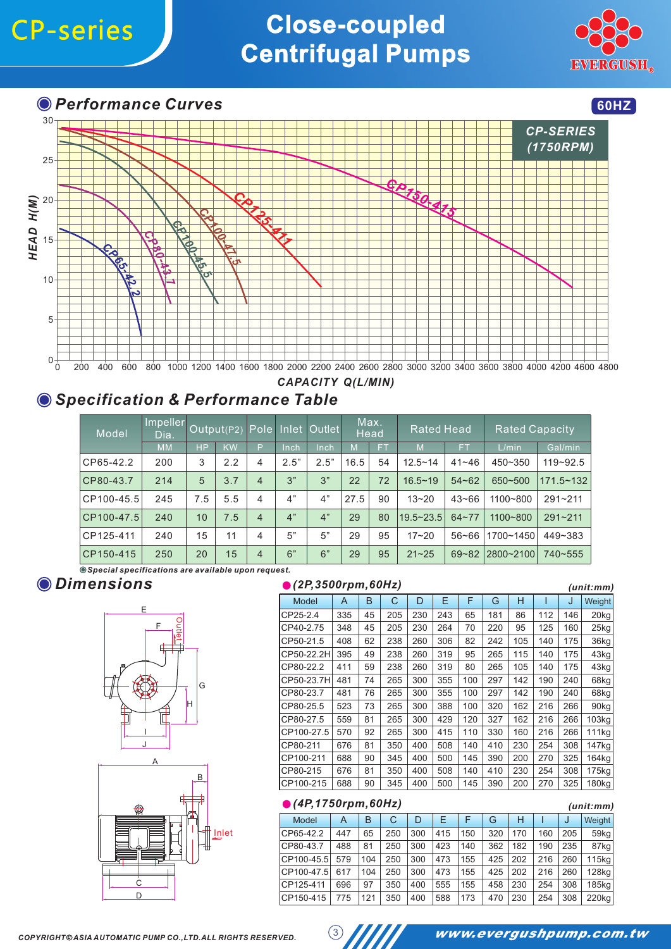

**O** Performance Curves **60HZ** 



### *CAPACITY Q(L/MIN)*

### *Specification & Performance Table*

| Model      | Impeller<br>Dia. | Output(P2) |           |                | Pole Inlet | <b>Outlet</b> | Max.<br>Head |    | <b>Rated Head</b> |           | <b>Rated Capacity</b> |               |
|------------|------------------|------------|-----------|----------------|------------|---------------|--------------|----|-------------------|-----------|-----------------------|---------------|
|            | <b>MM</b>        | <b>HP</b>  | <b>KW</b> | P              | Inch       | Inch          | M            | FТ | M                 | FT.       | L/min                 | Gal/min       |
| CP65-42.2  | 200              | 3          | 2.2       | $\overline{4}$ | 2.5"       | 2.5"          | 16.5         | 54 | $12.5 - 14$       | $41 - 46$ | 450~350               | $119 - 92.5$  |
| CP80-43.7  | 214              | 5          | 3.7       | $\overline{4}$ | 3"         | 3"            | 22           | 72 | $16.5 - 19$       | $54 - 62$ | 650~500               | $171.5 - 132$ |
| CP100-45.5 | 245              | 7.5        | 5.5       | 4              | 4"         | 4"            | 27.5         | 90 | $13 - 20$         | $43 - 66$ | 1100~800              | $291 - 211$   |
| CP100-47.5 | 240              | 10         | 7.5       | $\overline{4}$ | 4"         | 4"            | 29           | 80 | 19.5~23.5         | $64 - 77$ | 1100~800              | $291 - 211$   |
| CP125-411  | 240              | 15         | 11        | 4              | 5"         | 5"            | 29           | 95 | $17 - 20$         | $56 - 66$ | 1700~1450             | 449~383       |
| CP150-415  | 250              | 20         | 15        | $\overline{4}$ | 6"         | 6"            | 29           | 95 | $21 - 25$         | $69 - 82$ | 2800~2100             | 740~555       |

*Special specifications are available upon request.*

#### *Dimensions*





#### *(2P,3500rpm,60Hz) (unit:mm)*

|            |     |    |     |     |     | ,,,,,,,,,,,,,,,,, |     |     |     |     |                   |
|------------|-----|----|-----|-----|-----|-------------------|-----|-----|-----|-----|-------------------|
| Model      | A   | B  | C   | D   | E   | F                 | G   | н   |     | J   | Weight            |
| CP25-2.4   | 335 | 45 | 205 | 230 | 243 | 65                | 181 | 86  | 112 | 146 | 20 <sub>kg</sub>  |
| CP40-2.75  | 348 | 45 | 205 | 230 | 264 | 70                | 220 | 95  | 125 | 160 | 25kg              |
| CP50-21.5  | 408 | 62 | 238 | 260 | 306 | 82                | 242 | 105 | 140 | 175 | 36kg              |
| CP50-22.2H | 395 | 49 | 238 | 260 | 319 | 95                | 265 | 115 | 140 | 175 | 43kg              |
| CP80-22.2  | 411 | 59 | 238 | 260 | 319 | 80                | 265 | 105 | 140 | 175 | 43kg              |
| CP50-23.7H | 481 | 74 | 265 | 300 | 355 | 100               | 297 | 142 | 190 | 240 | 68kg              |
| CP80-23.7  | 481 | 76 | 265 | 300 | 355 | 100               | 297 | 142 | 190 | 240 | 68kg              |
| CP80-25.5  | 523 | 73 | 265 | 300 | 388 | 100               | 320 | 162 | 216 | 266 | 90 <sub>kg</sub>  |
| CP80-27.5  | 559 | 81 | 265 | 300 | 429 | 120               | 327 | 162 | 216 | 266 | 103kg             |
| CP100-27.5 | 570 | 92 | 265 | 300 | 415 | 110               | 330 | 160 | 216 | 266 | 111kg             |
| CP80-211   | 676 | 81 | 350 | 400 | 508 | 140               | 410 | 230 | 254 | 308 | 147 <sub>kg</sub> |
| CP100-211  | 688 | 90 | 345 | 400 | 500 | 145               | 390 | 200 | 270 | 325 | 164kg             |
| CP80-215   | 676 | 81 | 350 | 400 | 508 | 140               | 410 | 230 | 254 | 308 | 175kg             |
| CP100-215  | 688 | 90 | 345 | 400 | 500 | 145               | 390 | 200 | 270 | 325 | 180kg             |

#### *(4P,1750rpm,60Hz)*

| . .<br>× |  |
|----------|--|
|          |  |

| Model          | A   | в   |     | D   |     |     | G   | н   |     |     | Weight I |
|----------------|-----|-----|-----|-----|-----|-----|-----|-----|-----|-----|----------|
| CP65-42.2      | 447 | 65  | 250 | 300 | 415 | 50  | 320 | 170 | 160 | 205 | 59kg     |
| CP80-43.7      | 488 | 81  | 250 | 300 | 423 | 140 | 362 | 182 | 190 | 235 | 87kal    |
| $ CP100-45.5 $ | 579 | 104 | 250 | 300 | 473 | 155 | 425 | 202 | 216 | 260 | 115ka l  |
| CP100-47.5     | 617 | 104 | 250 | 300 | 473 | 155 | 425 | 202 | 216 | 260 | 128ka l  |
| CP125-411      | 696 | 97  | 350 | 400 | 555 | 155 | 458 | 230 | 254 | 308 | 185ka l  |
| CP150-415      | 775 | 121 | 350 | 400 | 588 | 173 | 470 | 230 | 254 | 308 | 220kg    |